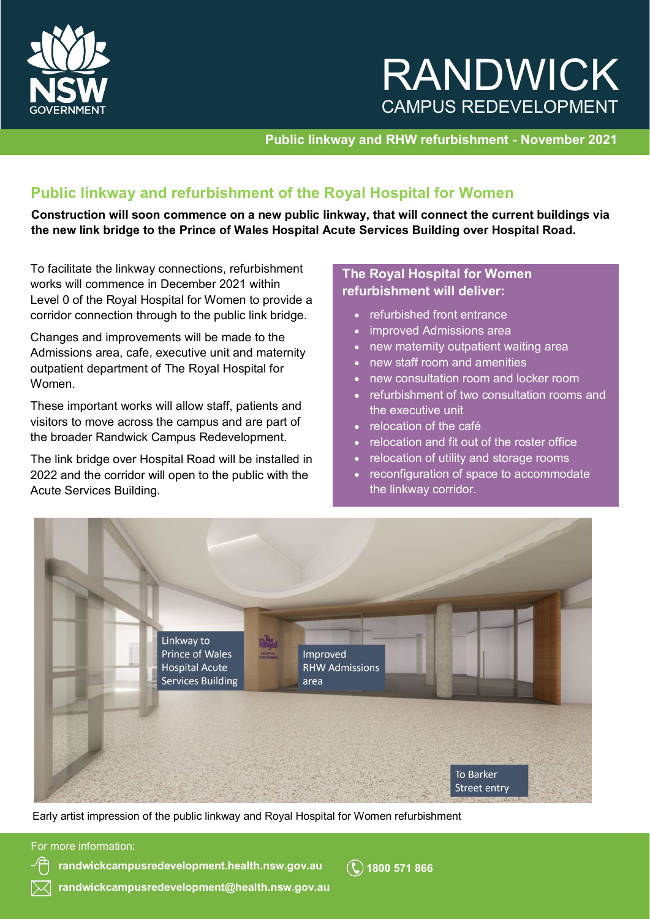

# RANDWICK CAMPUS REDEVELOPMENT

**Public linkway and RHW refurbishment - November 2021** 

# **Public linkway and refurbishment of the Royal Hospital for Women**

**Construction will soon commence on a new public linkway, that will connect the current buildings via the new link bridge to the Prince of Wales Hospital Acute Services Building over Hospital Road.**

To facilitate the linkway connections, refurbishment works will commence in December 2021 within Level 0 of the Royal Hospital for Women to provide a corridor connection through to the public link bridge.

Changes and improvements will be made to the Admissions area, cafe, executive unit and maternity outpatient department of The Royal Hospital for Women.

These important works will allow staff, patients and visitors to move across the campus and are part of the broader Randwick Campus Redevelopment.

The link bridge over Hospital Road will be installed in 2022 and the corridor will open to the public with the Acute Services Building.

# **The Royal Hospital for Women refurbishment will deliver:**

- refurbished front entrance
- improved Admissions area
- new maternity outpatient waiting area
- new staff room and amenities
- new consultation room and locker room
- refurbishment of two consultation rooms and the executive unit
- relocation of the café
- relocation and fit out of the roster office
- relocation of utility and storage rooms
- reconfiguration of space to accommodate the linkway corridor.



Early artist impression of the public linkway and Royal Hospital for Women refurbishment

For more information:

**[randwickcampusredevelopment.health.nsw.gov.au](http://www.randwickcampusredevelopment.health.nsw.gov.au)**

**1800 571 866**

**[randwickcampusredevelopment@health.nsw.gov.au](mailto:randwickcampusredevelopment@health.nsw.gov.au)**